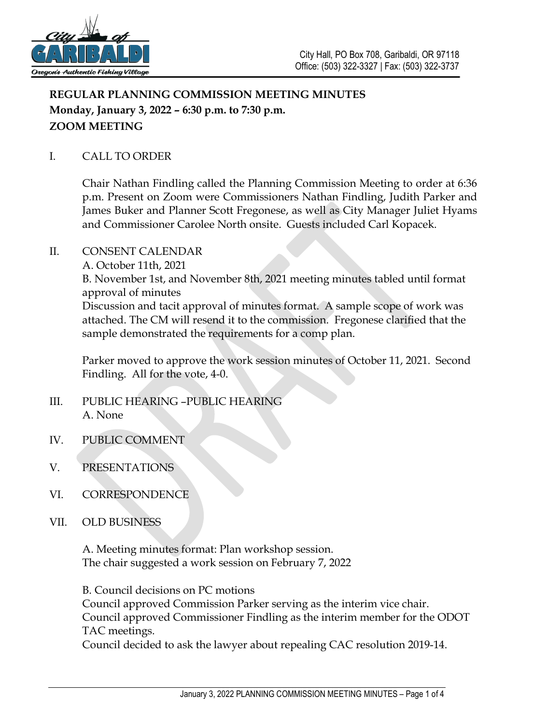

# **REGULAR PLANNING COMMISSION MEETING MINUTES Monday, January 3, 2022 – 6:30 p.m. to 7:30 p.m. ZOOM MEETING**

## I. CALL TO ORDER

Chair Nathan Findling called the Planning Commission Meeting to order at 6:36 p.m. Present on Zoom were Commissioners Nathan Findling, Judith Parker and James Buker and Planner Scott Fregonese, as well as City Manager Juliet Hyams and Commissioner Carolee North onsite. Guests included Carl Kopacek.

### II. CONSENT CALENDAR

A. October 11th, 2021

B. November 1st, and November 8th, 2021 meeting minutes tabled until format approval of minutes

Discussion and tacit approval of minutes format. A sample scope of work was attached. The CM will resend it to the commission. Fregonese clarified that the sample demonstrated the requirements for a comp plan.

Parker moved to approve the work session minutes of October 11, 2021. Second Findling. All for the vote, 4-0.

- III. PUBLIC HEARING –PUBLIC HEARING A. None
- IV. PUBLIC COMMENT
- V. PRESENTATIONS
- VI. CORRESPONDENCE
- VII. OLD BUSINESS

A. Meeting minutes format: Plan workshop session. The chair suggested a work session on February 7, 2022

B. Council decisions on PC motions

Council approved Commission Parker serving as the interim vice chair. Council approved Commissioner Findling as the interim member for the ODOT TAC meetings.

Council decided to ask the lawyer about repealing CAC resolution 2019-14.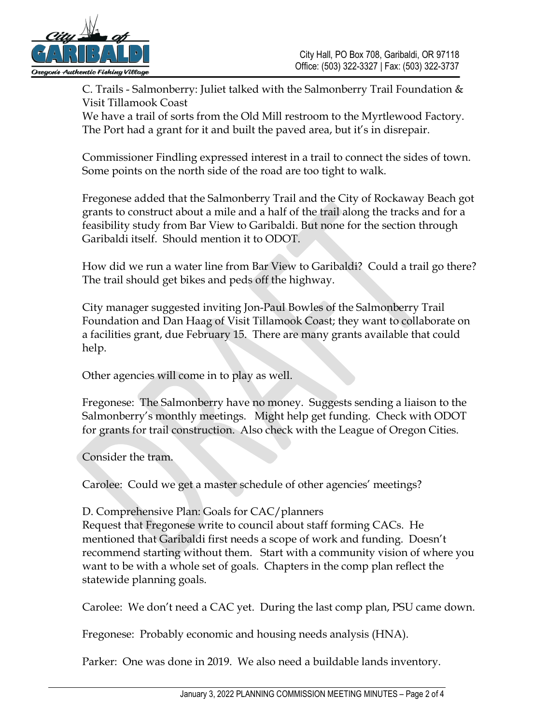

C. Trails - Salmonberry: Juliet talked with the Salmonberry Trail Foundation  $\&$ Visit Tillamook Coast

We have a trail of sorts from the Old Mill restroom to the Myrtlewood Factory. The Port had a grant for it and built the paved area, but it's in disrepair.

Commissioner Findling expressed interest in a trail to connect the sides of town. Some points on the north side of the road are too tight to walk.

Fregonese added that the Salmonberry Trail and the City of Rockaway Beach got grants to construct about a mile and a half of the trail along the tracks and for a feasibility study from Bar View to Garibaldi. But none for the section through Garibaldi itself. Should mention it to ODOT.

How did we run a water line from Bar View to Garibaldi? Could a trail go there? The trail should get bikes and peds off the highway.

City manager suggested inviting Jon-Paul Bowles of the Salmonberry Trail Foundation and Dan Haag of Visit Tillamook Coast; they want to collaborate on a facilities grant, due February 15. There are many grants available that could help.

Other agencies will come in to play as well.

Fregonese: The Salmonberry have no money. Suggests sending a liaison to the Salmonberry's monthly meetings. Might help get funding. Check with ODOT for grants for trail construction. Also check with the League of Oregon Cities.

Consider the tram.

Carolee: Could we get a master schedule of other agencies' meetings?

## D. Comprehensive Plan: Goals for CAC/planners

Request that Fregonese write to council about staff forming CACs. He mentioned that Garibaldi first needs a scope of work and funding. Doesn't recommend starting without them. Start with a community vision of where you want to be with a whole set of goals. Chapters in the comp plan reflect the statewide planning goals.

Carolee: We don't need a CAC yet. During the last comp plan, PSU came down.

Fregonese: Probably economic and housing needs analysis (HNA).

Parker: One was done in 2019. We also need a buildable lands inventory.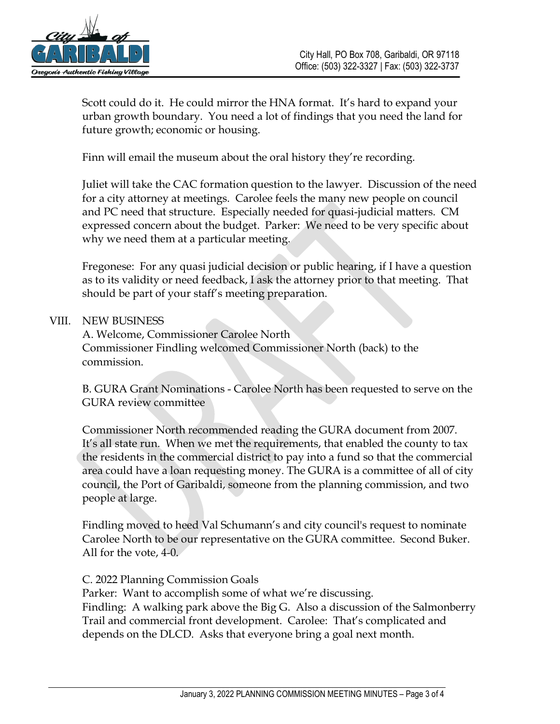

Scott could do it. He could mirror the HNA format. It's hard to expand your urban growth boundary. You need a lot of findings that you need the land for future growth; economic or housing.

Finn will email the museum about the oral history they're recording.

Juliet will take the CAC formation question to the lawyer. Discussion of the need for a city attorney at meetings. Carolee feels the many new people on council and PC need that structure. Especially needed for quasi-judicial matters. CM expressed concern about the budget. Parker: We need to be very specific about why we need them at a particular meeting.

Fregonese: For any quasi judicial decision or public hearing, if I have a question as to its validity or need feedback, I ask the attorney prior to that meeting. That should be part of your staff's meeting preparation.

#### VIII. NEW BUSINESS

A. Welcome, Commissioner Carolee North Commissioner Findling welcomed Commissioner North (back) to the commission.

B. GURA Grant Nominations - Carolee North has been requested to serve on the GURA review committee

Commissioner North recommended reading the GURA document from 2007. It's all state run. When we met the requirements, that enabled the county to tax the residents in the commercial district to pay into a fund so that the commercial area could have a loan requesting money. The GURA is a committee of all of city council, the Port of Garibaldi, someone from the planning commission, and two people at large.

Findling moved to heed Val Schumann's and city council's request to nominate Carolee North to be our representative on the GURA committee. Second Buker. All for the vote, 4-0.

#### C. 2022 Planning Commission Goals

Parker: Want to accomplish some of what we're discussing. Findling: A walking park above the Big G. Also a discussion of the Salmonberry Trail and commercial front development. Carolee: That's complicated and depends on the DLCD. Asks that everyone bring a goal next month.